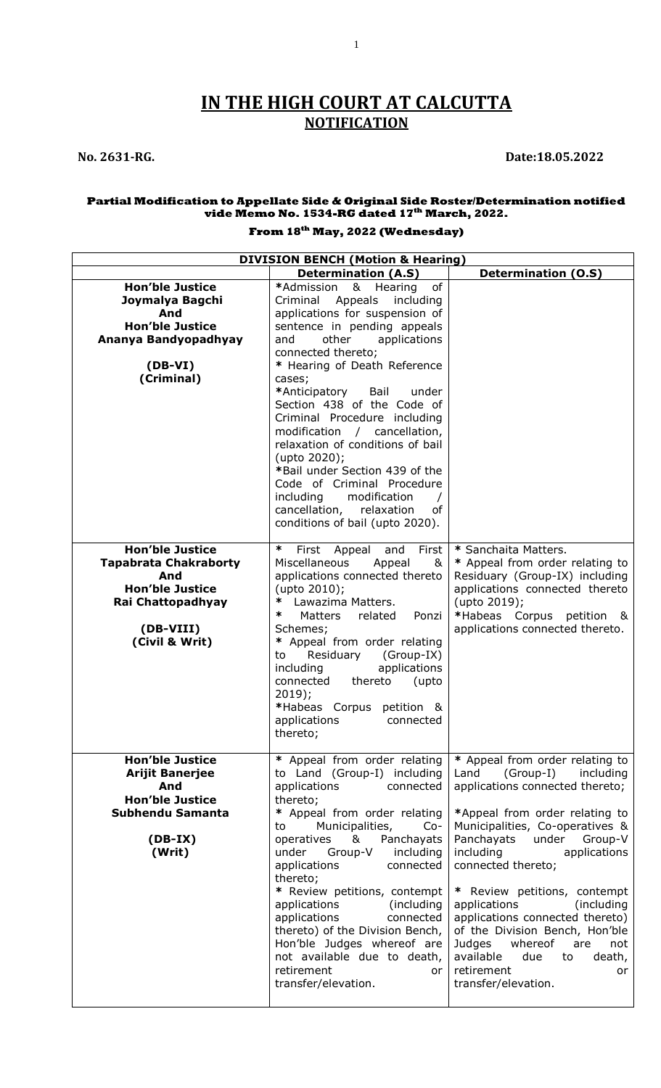# **IN THE HIGH COURT AT CALCUTTA NOTIFICATION**

1

## **No. 2631-RG. Date:18.05.2022**

#### **Partial Modification to Appellate Side & Original Side Roster/Determination notified vide Memo No. 1534-RG dated 17th March, 2022.**

## **From 18th May, 2022 (Wednesday)**

| <b>DIVISION BENCH (Motion &amp; Hearing)</b>                                                                                                |                                                                                                                                                                                                                                                                                                                                                                                                                                                                                                                                                                                       |                                                                                                                                                                                                                                                                                                                                                                                                                                                                                                                     |  |
|---------------------------------------------------------------------------------------------------------------------------------------------|---------------------------------------------------------------------------------------------------------------------------------------------------------------------------------------------------------------------------------------------------------------------------------------------------------------------------------------------------------------------------------------------------------------------------------------------------------------------------------------------------------------------------------------------------------------------------------------|---------------------------------------------------------------------------------------------------------------------------------------------------------------------------------------------------------------------------------------------------------------------------------------------------------------------------------------------------------------------------------------------------------------------------------------------------------------------------------------------------------------------|--|
|                                                                                                                                             | <b>Determination (A.S)</b>                                                                                                                                                                                                                                                                                                                                                                                                                                                                                                                                                            | <b>Determination (O.S)</b>                                                                                                                                                                                                                                                                                                                                                                                                                                                                                          |  |
| <b>Hon'ble Justice</b><br>Joymalya Bagchi<br>And<br><b>Hon'ble Justice</b><br>Ananya Bandyopadhyay<br>$(DB-VI)$<br>(Criminal)               | *Admission<br>& Hearing<br>of<br>Criminal Appeals<br>including<br>applications for suspension of<br>sentence in pending appeals<br>other<br>applications<br>and<br>connected thereto;<br>* Hearing of Death Reference<br>cases;<br>*Anticipatory<br>Bail<br>under<br>Section 438 of the Code of<br>Criminal Procedure including<br>modification / cancellation,<br>relaxation of conditions of bail<br>(upto 2020);<br>*Bail under Section 439 of the<br>Code of Criminal Procedure<br>modification<br>including<br>cancellation, relaxation<br>оf<br>conditions of bail (upto 2020). |                                                                                                                                                                                                                                                                                                                                                                                                                                                                                                                     |  |
| <b>Hon'ble Justice</b><br><b>Tapabrata Chakraborty</b><br>And<br><b>Hon'ble Justice</b><br>Rai Chattopadhyay<br>(DB-VIII)<br>(Civil & Writ) | ∗<br>and<br>First<br>First Appeal<br>Miscellaneous<br>Appeal<br>&<br>applications connected thereto<br>(upto 2010);<br>Lawazima Matters.<br>∗<br>∗<br><b>Matters</b><br>Ponzi<br>related<br>Schemes;<br>Appeal from order relating<br>∗<br>Residuary<br>(Group-IX)<br>to<br>including<br>applications<br>connected<br>thereto<br>(upto<br>$2019$ :<br>*Habeas Corpus petition &<br>applications<br>connected<br>thereto;                                                                                                                                                              | * Sanchaita Matters.<br>* Appeal from order relating to<br>Residuary (Group-IX) including<br>applications connected thereto<br>(upto 2019);<br>*Habeas Corpus petition &<br>applications connected thereto.                                                                                                                                                                                                                                                                                                         |  |
| <b>Hon'ble Justice</b><br><b>Arijit Banerjee</b><br>And<br><b>Hon'ble Justice</b><br>Subhendu Samanta<br>$(DB-IX)$<br>(Writ)                | * Appeal from order relating<br>to Land (Group-I) including<br>applications<br>connected<br>thereto;<br>* Appeal from order relating<br>Municipalities,<br>to<br>$Co-$<br>&<br>Panchayats<br>operatives<br>under<br>Group-V<br>including<br>applications<br>connected<br>thereto;<br>* Review petitions, contempt<br>applications<br>(including)<br>applications<br>connected<br>thereto) of the Division Bench,<br>Hon'ble Judges whereof are<br>not available due to death,<br>retirement<br>or<br>transfer/elevation.                                                              | * Appeal from order relating to<br>(Group-I)<br>including<br>Land<br>applications connected thereto;<br>*Appeal from order relating to<br>Municipalities, Co-operatives &<br>Panchayats<br>under<br>Group-V<br>including<br>applications<br>connected thereto;<br>* Review petitions, contempt<br>(including<br>applications<br>applications connected thereto)<br>of the Division Bench, Hon'ble<br>whereof<br>Judges<br>are<br>not<br>available<br>due<br>to<br>death,<br>retirement<br>or<br>transfer/elevation. |  |